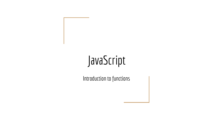## JavaScript

Introduction to functions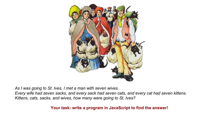

*As I was going to St. Ives, I met a man with seven wives.*

*Every wife had seven sacks, and every sack had seven cats, and every cat had seven kittens. Kittens, cats, sacks, and wives, how many were going to St. Ives?*

**Your task: write a program in JavaScript to find the answer!**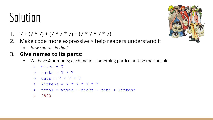- 1.  $7+(7*7)+(7*7*7)+(7*7*7*7)$
- 2. Make code more expressive > help readers understand it
	- *○ How can we do that?*

#### 3. **Give names to its parts**:

○ We have 4 numbers; each means something particular. Use the console:

```
> wives = 7
```

```
> sacks = 7 * 7
```

```
> cats = 7 * 7 * 7
```

```
> kittens = 7 * 7 * 7 * 7
```

```
> total = wives + sacks + cats + kittens
```

```
> 2800
```
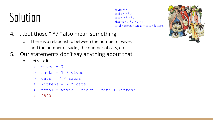```
wives = 7sacks = 7 * 7\text{cats} = 7 * 7 * 7kittens = 7 * 7 * 7 * 7total = wives + sacks + cats + kittens
```
- 4. ...but those " \*7 " also mean something!
	- There is a relationship between the number of wives and the number of sacks, the number of cats, etc…
- 5. Our statements don't say anything about that.
	- Let's fix it!

```
> wives = 7
```
- $>$  sacks =  $7 *$  wives
- $>$  cats =  $7 *$  sacks
- $>$  kittens =  $7 *$  cats
- $>$  total = wives + sacks + cats + kittens
- > 2800

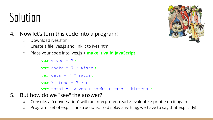- 4. Now let's turn this code into a program!
	- Download ives.html
	- Create a file ives.js and link it to ives.html
	- Place your code into ives.js + **make it valid JavaScript**

```
var wives = 7;
var sacks = 7 * wives ;
var cats = 7 * sacks ;
var kittens = 7 * \text{ cats} ;
var total = wives + sacks + cats + kittens ;
```
- 5. But how do we "see" the answer?
	- Console: a "conversation" with an interpreter: read > evaluate > print > do it again
	- Program: set of explicit instructions. To display anything, we have to say that explicitly!

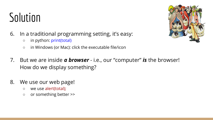- 6. In a traditional programming setting, it's easy:
	- in python: print(total)
	- in Windows (or Mac): click the executable file/icon
- 7. But we are inside *a browser* i.e., our "computer" *is* the browser! How do we display something?
- 8. We use our web page!
	- we use alert(total);
	- or something better >>

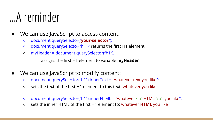### ...A reminder

- We can use JavaScript to access content:
	- document.querySelector("**your-selector**");
	- document.querySelector("h1"); returns the first H1 element
	- myHeader = document.querySelector("h1");

assigns the first H1 element to variable **myHeader**

- We can use JavaScript to modify content:
	- $\circ$  document.querySelector("h1").innerText = "whatever text you like";
	- sets the text of the first H1 element to this text: whatever you like
	- document.querySelector("h1").innerHTML = "whatever <b>HTML</b> you like";
	- sets the inner HTML of the first H1 element to: whatever **HTML** you like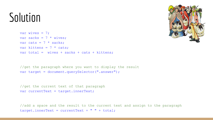```
var wives = 7:
var sacks = 7 * wives:
var cats = 7 * sacks;
var kittens = 7 * \text{ cats};
var total = wives + sacks + cats + kittens;
```
//get the paragraph where you want to display the result var target = document.querySelector(".answer");

```
//get the current text of that paragraph
var currentText = target.innerText;
```
//add a space and the result to the current text and assign to the paragraph  $target.innerText = currentText + " " + total;$ 

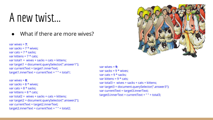#### A new twist...

What if there are more wives?

```
var wives = 7;
var sacks = 7 * wives:
var cats = 7 * sacks;
var kittens = 7 * \text{ cats};
var total1 = wives + sacks + cats + kittens:
var target1 = document.querySelector(".answer1");
var currentText = target1.innerText;
target1.innerText = currentText + " " + total1;
```

```
var wives = 8;
var sacks = 8 * wives:
var cats = 8 * sacks;
var kittens = 8 * \text{ cats};
var total2 = wives + sacks + cats + kittens;
var target2 = document.querySelector(".answer2");
var currentText = target2.innerText;
target2.innerText = currentText + " " + total2;
```


```
var wives = 9;
var sacks = 9 * wives;
var cats = 9 * sacks:
var kittens = 9 * \text{ cats};
var total3 = wives + sacks + cats + kittens;
var target3 = document.querySelector(".answer3");
var currentText = target3.innerText;
target3.innerText = currentText + " " + total3;
```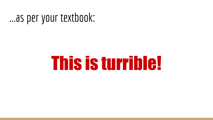#### ...as per your textbook:

# This is turrible!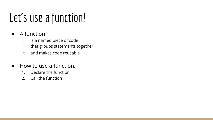## Let's use a function!

- A function:
	- is a named piece of code
	- that groups statements together
	- and makes code reusable
- How to use a function:
	- 1. Declare the function
	- 2. Call the function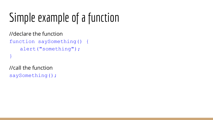## Simple example of a function

```
//declare the function
function saySomething() {
   alert("something");
}
```
//call the function saySomething();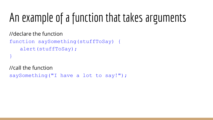## An example of a function that takes arguments

//declare the function

```
function saySomething(stuffToSay) {
   alert(stuffToSay);
}
```
//call the function

```
saySomething("I have a lot to say!");
```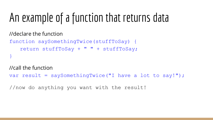## An example of a function that returns data

//declare the function

```
function saySomethingTwice(stuffToSay) {
   return stuffToSay + " " + stuffToSay;
}
```
//call the function

```
var result = saySomethingTwice("I have a lot to say!");
```
//now do anything you want with the result!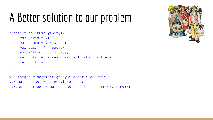## A Better solution to our problem

```
function countEverything() {
    var wives = 7:
     var sacks = 7 * wives;
    var cats = 7 * sacks;
     var kittens = 7 * \text{ cats};var total = wives + sacks + cats + kittens;return total;
}
```

```
var target = document.querySelector(".answer");
var currentText = target.innerText;
target.innerText = currentText + " " + countEverything();
```